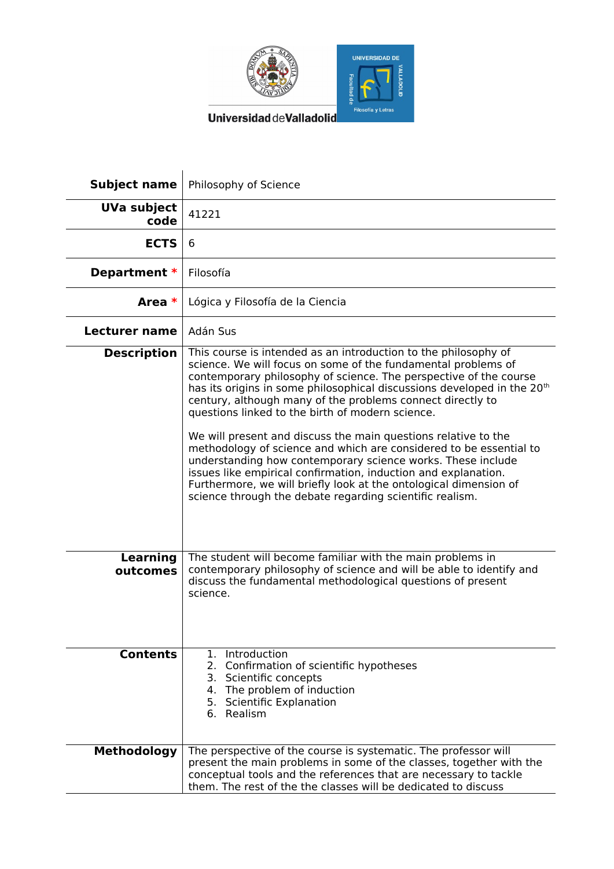

Universidad deValladolid

| <b>Subject name</b>        | Philosophy of Science                                                                                                                                                                                                                                                                                                                                                                                                                                                                                                                                                                                                                                                                                                                                                                                                    |
|----------------------------|--------------------------------------------------------------------------------------------------------------------------------------------------------------------------------------------------------------------------------------------------------------------------------------------------------------------------------------------------------------------------------------------------------------------------------------------------------------------------------------------------------------------------------------------------------------------------------------------------------------------------------------------------------------------------------------------------------------------------------------------------------------------------------------------------------------------------|
| <b>UVa subject</b><br>code | 41221                                                                                                                                                                                                                                                                                                                                                                                                                                                                                                                                                                                                                                                                                                                                                                                                                    |
| <b>ECTS</b>                | 6                                                                                                                                                                                                                                                                                                                                                                                                                                                                                                                                                                                                                                                                                                                                                                                                                        |
| Department *               | Filosofía                                                                                                                                                                                                                                                                                                                                                                                                                                                                                                                                                                                                                                                                                                                                                                                                                |
| Area *                     | Lógica y Filosofía de la Ciencia                                                                                                                                                                                                                                                                                                                                                                                                                                                                                                                                                                                                                                                                                                                                                                                         |
| <b>Lecturer name</b>       | Adán Sus                                                                                                                                                                                                                                                                                                                                                                                                                                                                                                                                                                                                                                                                                                                                                                                                                 |
| <b>Description</b>         | This course is intended as an introduction to the philosophy of<br>science. We will focus on some of the fundamental problems of<br>contemporary philosophy of science. The perspective of the course<br>has its origins in some philosophical discussions developed in the 20 <sup>th</sup><br>century, although many of the problems connect directly to<br>questions linked to the birth of modern science.<br>We will present and discuss the main questions relative to the<br>methodology of science and which are considered to be essential to<br>understanding how contemporary science works. These include<br>issues like empirical confirmation, induction and explanation.<br>Furthermore, we will briefly look at the ontological dimension of<br>science through the debate regarding scientific realism. |
| Learning<br>outcomes       | The student will become familiar with the main problems in<br>contemporary philosophy of science and will be able to identify and<br>discuss the fundamental methodological questions of present<br>science.                                                                                                                                                                                                                                                                                                                                                                                                                                                                                                                                                                                                             |
| <b>Contents</b>            | 1. Introduction<br>2. Confirmation of scientific hypotheses<br>3. Scientific concepts<br>4. The problem of induction<br>5. Scientific Explanation<br>6. Realism                                                                                                                                                                                                                                                                                                                                                                                                                                                                                                                                                                                                                                                          |
| <b>Methodology</b>         | The perspective of the course is systematic. The professor will<br>present the main problems in some of the classes, together with the<br>conceptual tools and the references that are necessary to tackle<br>them. The rest of the the classes will be dedicated to discuss                                                                                                                                                                                                                                                                                                                                                                                                                                                                                                                                             |